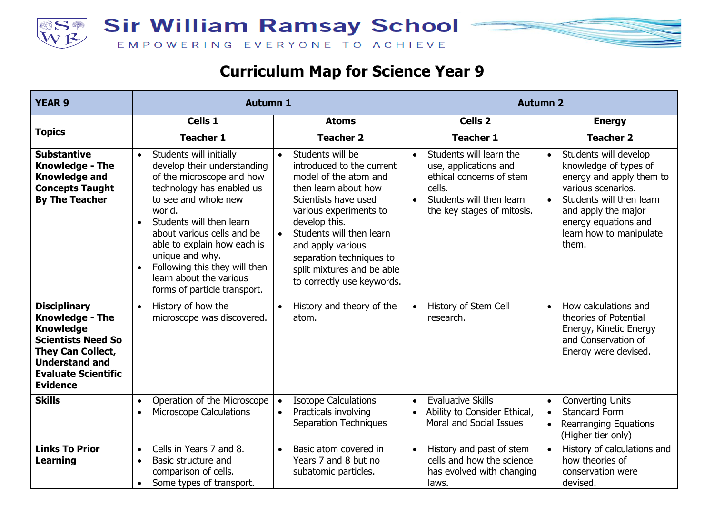



## **Curriculum Map for Science Year 9**

| <b>YEAR 9</b>                                                                                                                                                                                 | <b>Autumn 1</b>                                                                                                                                                                                                                                                                                                                                                                                   |                                                                                                                                                                                                                                                                                                            | <b>Autumn 2</b>                                                                                                                                                            |                                                                                                                                                                                                                                           |
|-----------------------------------------------------------------------------------------------------------------------------------------------------------------------------------------------|---------------------------------------------------------------------------------------------------------------------------------------------------------------------------------------------------------------------------------------------------------------------------------------------------------------------------------------------------------------------------------------------------|------------------------------------------------------------------------------------------------------------------------------------------------------------------------------------------------------------------------------------------------------------------------------------------------------------|----------------------------------------------------------------------------------------------------------------------------------------------------------------------------|-------------------------------------------------------------------------------------------------------------------------------------------------------------------------------------------------------------------------------------------|
|                                                                                                                                                                                               | Cells 1                                                                                                                                                                                                                                                                                                                                                                                           | <b>Atoms</b>                                                                                                                                                                                                                                                                                               | Cells <sub>2</sub>                                                                                                                                                         | <b>Energy</b>                                                                                                                                                                                                                             |
| <b>Topics</b>                                                                                                                                                                                 | <b>Teacher 1</b>                                                                                                                                                                                                                                                                                                                                                                                  | <b>Teacher 2</b>                                                                                                                                                                                                                                                                                           | <b>Teacher 1</b>                                                                                                                                                           | <b>Teacher 2</b>                                                                                                                                                                                                                          |
| <b>Substantive</b><br><b>Knowledge - The</b><br><b>Knowledge and</b><br><b>Concepts Taught</b><br><b>By The Teacher</b>                                                                       | Students will initially<br>$\bullet$<br>develop their understanding<br>of the microscope and how<br>technology has enabled us<br>to see and whole new<br>world.<br>Students will then learn<br>$\bullet$<br>about various cells and be<br>able to explain how each is<br>unique and why.<br>Following this they will then<br>$\bullet$<br>learn about the various<br>forms of particle transport. | Students will be<br>introduced to the current<br>model of the atom and<br>then learn about how<br>Scientists have used<br>various experiments to<br>develop this.<br>Students will then learn<br>and apply various<br>separation techniques to<br>split mixtures and be able<br>to correctly use keywords. | Students will learn the<br>$\bullet$<br>use, applications and<br>ethical concerns of stem<br>cells.<br>Students will then learn<br>$\bullet$<br>the key stages of mitosis. | Students will develop<br>$\bullet$<br>knowledge of types of<br>energy and apply them to<br>various scenarios.<br>Students will then learn<br>$\bullet$<br>and apply the major<br>energy equations and<br>learn how to manipulate<br>them. |
| <b>Disciplinary</b><br><b>Knowledge - The</b><br><b>Knowledge</b><br><b>Scientists Need So</b><br>They Can Collect,<br><b>Understand and</b><br><b>Evaluate Scientific</b><br><b>Evidence</b> | History of how the<br>$\bullet$<br>microscope was discovered.                                                                                                                                                                                                                                                                                                                                     | History and theory of the<br>atom.                                                                                                                                                                                                                                                                         | History of Stem Cell<br>$\bullet$<br>research.                                                                                                                             | How calculations and<br>$\bullet$<br>theories of Potential<br>Energy, Kinetic Energy<br>and Conservation of<br>Energy were devised.                                                                                                       |
| <b>Skills</b>                                                                                                                                                                                 | Operation of the Microscope<br>$\bullet$<br><b>Microscope Calculations</b><br>$\bullet$                                                                                                                                                                                                                                                                                                           | <b>Isotope Calculations</b><br>Practicals involving<br>$\bullet$<br>Separation Techniques                                                                                                                                                                                                                  | <b>Evaluative Skills</b><br>$\bullet$<br>Ability to Consider Ethical,<br>$\bullet$<br><b>Moral and Social Issues</b>                                                       | <b>Converting Units</b><br><b>Standard Form</b><br>$\bullet$<br><b>Rearranging Equations</b><br>(Higher tier only)                                                                                                                        |
| <b>Links To Prior</b><br><b>Learning</b>                                                                                                                                                      | Cells in Years 7 and 8.<br>$\bullet$<br>Basic structure and<br>$\bullet$<br>comparison of cells.<br>Some types of transport.<br>$\bullet$                                                                                                                                                                                                                                                         | Basic atom covered in<br>$\bullet$<br>Years 7 and 8 but no<br>subatomic particles.                                                                                                                                                                                                                         | History and past of stem<br>$\bullet$<br>cells and how the science<br>has evolved with changing<br>laws.                                                                   | History of calculations and<br>$\bullet$<br>how theories of<br>conservation were<br>devised.                                                                                                                                              |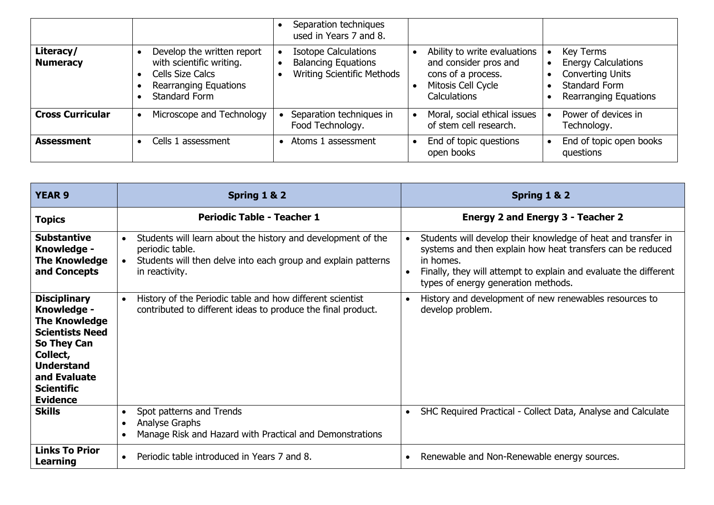|                              |                                                                                                                                    | Separation techniques<br>used in Years 7 and 8.                                         |                                                                                                                          |                                                                                                                     |
|------------------------------|------------------------------------------------------------------------------------------------------------------------------------|-----------------------------------------------------------------------------------------|--------------------------------------------------------------------------------------------------------------------------|---------------------------------------------------------------------------------------------------------------------|
| Literacy/<br><b>Numeracy</b> | Develop the written report<br>with scientific writing.<br>Cells Size Calcs<br><b>Rearranging Equations</b><br><b>Standard Form</b> | <b>Isotope Calculations</b><br><b>Balancing Equations</b><br>Writing Scientific Methods | Ability to write evaluations<br>and consider pros and<br>cons of a process.<br>Mitosis Cell Cycle<br><b>Calculations</b> | Key Terms<br><b>Energy Calculations</b><br><b>Converting Units</b><br>Standard Form<br><b>Rearranging Equations</b> |
| <b>Cross Curricular</b>      | Microscope and Technology                                                                                                          | Separation techniques in<br>Food Technology.                                            | Moral, social ethical issues<br>of stem cell research.                                                                   | Power of devices in<br>Technology.                                                                                  |
| <b>Assessment</b>            | Cells 1 assessment                                                                                                                 | Atoms 1 assessment                                                                      | End of topic questions<br>open books                                                                                     | End of topic open books<br>questions                                                                                |

| <b>YEAR 9</b>                                                                                                                                                                                | Spring 1 & 2                                                                                                                                                                    | Spring 1 & 2                                                                                                                                                                                                                                        |
|----------------------------------------------------------------------------------------------------------------------------------------------------------------------------------------------|---------------------------------------------------------------------------------------------------------------------------------------------------------------------------------|-----------------------------------------------------------------------------------------------------------------------------------------------------------------------------------------------------------------------------------------------------|
| <b>Topics</b>                                                                                                                                                                                | <b>Periodic Table - Teacher 1</b>                                                                                                                                               | <b>Energy 2 and Energy 3 - Teacher 2</b>                                                                                                                                                                                                            |
| <b>Substantive</b><br>Knowledge -<br><b>The Knowledge</b><br>and Concepts                                                                                                                    | Students will learn about the history and development of the<br>periodic table.<br>Students will then delve into each group and explain patterns<br>$\bullet$<br>in reactivity. | Students will develop their knowledge of heat and transfer in<br>systems and then explain how heat transfers can be reduced<br>in homes.<br>Finally, they will attempt to explain and evaluate the different<br>types of energy generation methods. |
| <b>Disciplinary</b><br>Knowledge -<br><b>The Knowledge</b><br><b>Scientists Need</b><br>So They Can<br>Collect,<br><b>Understand</b><br>and Evaluate<br><b>Scientific</b><br><b>Evidence</b> | History of the Periodic table and how different scientist<br>$\bullet$<br>contributed to different ideas to produce the final product.                                          | History and development of new renewables resources to<br>develop problem.                                                                                                                                                                          |
| <b>Skills</b>                                                                                                                                                                                | Spot patterns and Trends<br>$\bullet$<br>Analyse Graphs<br>Manage Risk and Hazard with Practical and Demonstrations                                                             | SHC Required Practical - Collect Data, Analyse and Calculate<br>$\bullet$                                                                                                                                                                           |
| <b>Links To Prior</b><br>Learning                                                                                                                                                            | Periodic table introduced in Years 7 and 8.<br>$\bullet$                                                                                                                        | Renewable and Non-Renewable energy sources.                                                                                                                                                                                                         |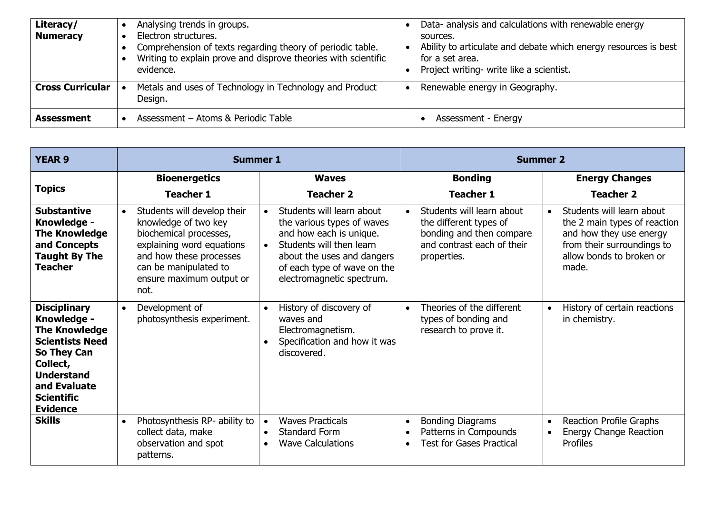| Literacy/<br><b>Numeracy</b> | Analysing trends in groups.<br>Electron structures.<br>Comprehension of texts regarding theory of periodic table.<br>Writing to explain prove and disprove theories with scientific<br>evidence. | Data- analysis and calculations with renewable energy<br>sources.<br>Ability to articulate and debate which energy resources is best<br>for a set area.<br>Project writing- write like a scientist. |
|------------------------------|--------------------------------------------------------------------------------------------------------------------------------------------------------------------------------------------------|-----------------------------------------------------------------------------------------------------------------------------------------------------------------------------------------------------|
| <b>Cross Curricular</b>      | Metals and uses of Technology in Technology and Product<br>Design.                                                                                                                               | Renewable energy in Geography.                                                                                                                                                                      |
| <b>Assessment</b>            | Assessment - Atoms & Periodic Table                                                                                                                                                              | Assessment - Energy                                                                                                                                                                                 |

| <b>YEAR 9</b>                                                                                                                                                                                | <b>Summer 1</b>                                                                                                                                                                                                 |                                                                                                                                                                                                                       | <b>Summer 2</b>                                                                                                              |                                                                                                                                                                      |
|----------------------------------------------------------------------------------------------------------------------------------------------------------------------------------------------|-----------------------------------------------------------------------------------------------------------------------------------------------------------------------------------------------------------------|-----------------------------------------------------------------------------------------------------------------------------------------------------------------------------------------------------------------------|------------------------------------------------------------------------------------------------------------------------------|----------------------------------------------------------------------------------------------------------------------------------------------------------------------|
| <b>Topics</b>                                                                                                                                                                                | <b>Bioenergetics</b><br><b>Teacher 1</b>                                                                                                                                                                        | <b>Waves</b><br><b>Teacher 2</b>                                                                                                                                                                                      | <b>Bonding</b><br><b>Teacher 1</b>                                                                                           | <b>Energy Changes</b><br><b>Teacher 2</b>                                                                                                                            |
| <b>Substantive</b><br>Knowledge -<br><b>The Knowledge</b><br>and Concepts<br><b>Taught By The</b><br><b>Teacher</b>                                                                          | Students will develop their<br>$\bullet$<br>knowledge of two key<br>biochemical processes,<br>explaining word equations<br>and how these processes<br>can be manipulated to<br>ensure maximum output or<br>not. | Students will learn about<br>the various types of waves<br>and how each is unique.<br>Students will then learn<br>$\bullet$<br>about the uses and dangers<br>of each type of wave on the<br>electromagnetic spectrum. | Students will learn about<br>the different types of<br>bonding and then compare<br>and contrast each of their<br>properties. | Students will learn about<br>$\bullet$<br>the 2 main types of reaction<br>and how they use energy<br>from their surroundings to<br>allow bonds to broken or<br>made. |
| <b>Disciplinary</b><br>Knowledge -<br><b>The Knowledge</b><br><b>Scientists Need</b><br>So They Can<br>Collect,<br><b>Understand</b><br>and Evaluate<br><b>Scientific</b><br><b>Evidence</b> | Development of<br>$\bullet$<br>photosynthesis experiment.                                                                                                                                                       | History of discovery of<br>$\bullet$<br>waves and<br>Electromagnetism.<br>Specification and how it was<br>discovered.                                                                                                 | Theories of the different<br>types of bonding and<br>research to prove it.                                                   | History of certain reactions<br>in chemistry.                                                                                                                        |
| <b>Skills</b>                                                                                                                                                                                | Photosynthesis RP- ability to<br>$\bullet$<br>collect data, make<br>observation and spot<br>patterns.                                                                                                           | <b>Waves Practicals</b><br>$\bullet$<br><b>Standard Form</b><br><b>Wave Calculations</b>                                                                                                                              | <b>Bonding Diagrams</b><br>$\bullet$<br>Patterns in Compounds<br><b>Test for Gases Practical</b>                             | <b>Reaction Profile Graphs</b><br>$\bullet$<br>Energy Change Reaction<br>Profiles                                                                                    |